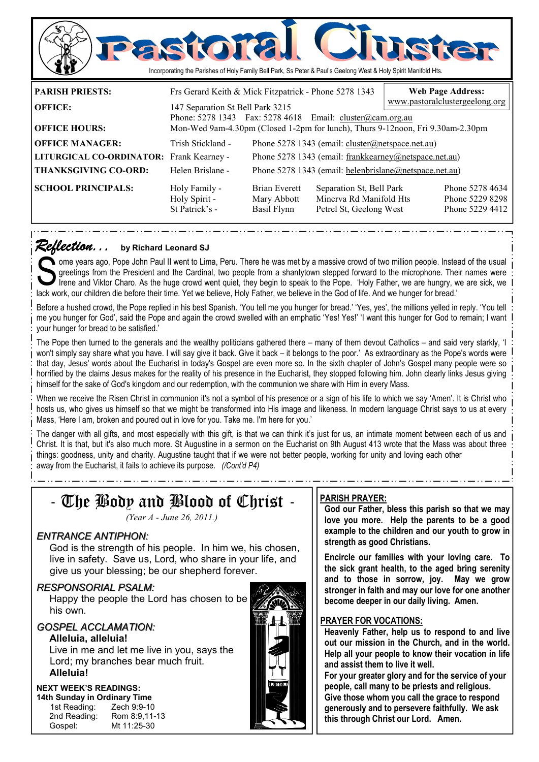

*Reflection... Reflection...* **by Richard Leonard SJ**

ome vears ago, Pope John Paul II went to Lima, Peru. There he was met by a massive crowd of two million people. Instead of the usual greetings from the President and the Cardinal, two people from a shantytown stepped forward to the microphone. Their names were Irene and Viktor Charo. As the huge crowd went quiet, they begin to speak to the Pope. 'Holy Father, we are hungry, we are sick, we lack work, our children die before their time. Yet we believe, Holy Father, we believe in the God of life. And we hunger for bread.'

Before a hushed crowd, the Pope replied in his best Spanish. 'You tell me you hunger for bread.' 'Yes, yes', the millions yelled in reply. 'You tell me you hunger for God', said the Pope and again the crowd swelled with an emphatic 'Yes! Yes!' 'I want this hunger for God to remain; I want your hunger for bread to be satisfied.'

The Pope then turned to the generals and the wealthy politicians gathered there – many of them devout Catholics – and said very starkly, 'I won't simply say share what you have. I will say give it back. Give it back – it belongs to the poor.' As extraordinary as the Pope's words were that day, Jesus' words about the Eucharist in today's Gospel are even more so. In the sixth chapter of John's Gospel many people were so horrified by the claims Jesus makes for the reality of his presence in the Eucharist, they stopped following him. John clearly links Jesus giving himself for the sake of God's kingdom and our redemption, with the communion we share with Him in every Mass.

When we receive the Risen Christ in communion it's not a symbol of his presence or a sign of his life to which we say 'Amen'. It is Christ who hosts us, who gives us himself so that we might be transformed into His image and likeness. In modern language Christ says to us at every Mass, 'Here I am, broken and poured out in love for you. Take me. I'm here for you.'

The danger with all gifts, and most especially with this gift, is that we can think it's just for us, an intimate moment between each of us and Christ. It is that, but it's also much more. St Augustine in a sermon on the Eucharist on 9th August 413 wrote that the Mass was about three things: goodness, unity and charity. Augustine taught that if we were not better people, working for unity and loving each other away from the Eucharist, it fails to achieve its purpose. *(/Cont'd P4)* 

#### - The Body and Blood of Christ - *(Year A - June 26, 2011.) ENTRANCE ANTIPHON:*  God is the strength of his people. In him we, his chosen, live in safety. Save us, Lord, who share in your life, and give us your blessing; be our shepherd forever. *RESPONSORIAL PSALM:* Happy the people the Lord has chosen to be his own. *GOSPEL ACCLAMATION:* **Alleluia, alleluia!**  Live in me and let me live in you, says the Lord; my branches bear much fruit. **Alleluia! NEXT WEEK'S READINGS:**

#### **PARISH PRAYER:**

St Patrick's - Basil Flynn Petrel St, Geelong West Phone 5229 4412

**God our Father, bless this parish so that we may love you more. Help the parents to be a good example to the children and our youth to grow in strength as good Christians.** 

**Encircle our families with your loving care. To the sick grant health, to the aged bring serenity and to those in sorrow, joy. May we grow stronger in faith and may our love for one another become deeper in our daily living. Amen.** 

#### **PRAYER FOR VOCATIONS:**

**Heavenly Father, help us to respond to and live out our mission in the Church, and in the world. Help all your people to know their vocation in life and assist them to live it well.** 

**For your greater glory and for the service of your people, call many to be priests and religious. Give those whom you call the grace to respond generously and to persevere faithfully. We ask** 

**this through Christ our Lord. Amen.** 

**14th Sunday in Ordinary Time**  1st Reading: 2nd Reading: Rom 8:9,11-13 Gospel: Mt 11:25-30

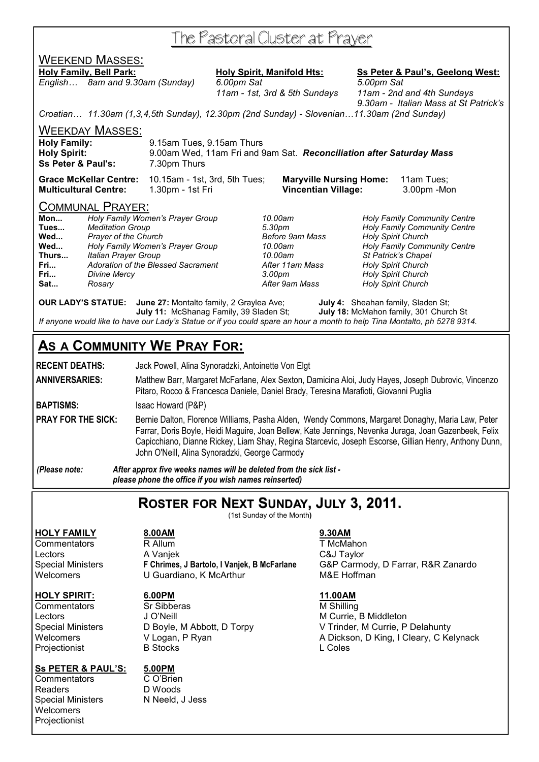## The Pastoral Cluster at Prayer

### WEEKEND MASSES:

**Holy Family, Bell Park: Holy Spirit, Manifold Hts: Ss Peter & Paul's, Geelong West:** *English… 8am and 9.30am (Sunday) 6.00pm Sat 5.00pm Sat* 

 *11am - 1st, 3rd & 5th Sundays 11am - 2nd and 4th Sundays 9.30am - Italian Mass at St Patrick's* 

*Croatian… 11.30am (1,3,4,5th Sunday), 12.30pm (2nd Sunday) - Slovenian…11.30am (2nd Sunday)* 

WEEKDAY MASSES:

| <b>Holy Family:</b>           | 9.15am Tues, 9.15am Thurs                                            |
|-------------------------------|----------------------------------------------------------------------|
| <b>Holy Spirit:</b>           | 9.00am Wed, 11am Fri and 9am Sat. Reconciliation after Saturday Mass |
| <b>Ss Peter &amp; Paul's:</b> | 7.30pm Thurs                                                         |

**Grace McKellar Centre:** 10.15am - 1st, 3rd, 5th Tues; **Maryville Nursing Home:** 11am Tues; **Multicultural Centre:** 1.30pm - 1st Fri **Vincentian Village:** 3.00pm -Mon

#### COMMUNAL PRAYER:

| Mon   | Holy Family Women's Prayer Group   |  |  |
|-------|------------------------------------|--|--|
| Tues  | <b>Meditation Group</b>            |  |  |
| Wed   | <b>Prayer of the Church</b>        |  |  |
| Wed   | Holy Family Women's Prayer Group   |  |  |
| Thurs | <b>Italian Prayer Group</b>        |  |  |
| Fri   | Adoration of the Blessed Sacrament |  |  |
| Fri   | <b>Divine Mercy</b>                |  |  |
| Sat   | Rosary                             |  |  |

**Mon...** *Holy Family Women's Prayer Group 10.00am Holy Family Community Centre*  **Tues...** *Meditation Group 5.30pm Holy Family Community Centre*  **Wed...** *Prayer of the Church Before 9am Mass Holy Spirit Church*  **Wed...** *Holy Family Women's Prayer Group 10.00am Holy Family Community Centre*  **Thurs...** *Italian Prayer Group 10.00am St Patrick's Chapel*  **Fri...** *Adoration of the Blessed Sacrament After 11am Mass Holy Spirit Church*  **Fri...** *Divine Mercy 3.00pm Holy Spirit Church*  **Sat...** *Rosary After 9am Mass Holy Spirit Church* 

**OUR LADY'S STATUE: June 27:** Montalto family, 2 Graylea Ave; **July 4:** Sheahan family, Sladen St;  **July 11:** McShanag Family, 39 Sladen St; **July 18:** McMahon family, 301 Church St *If anyone would like to have our Lady's Statue or if you could spare an hour a month to help Tina Montalto, ph 5278 9314.* 

### **AS A COMMUNITY WE PRAY FOR:**

**RECENT DEATHS:** Jack Powell, Alina Synoradzki, Antoinette Von Elgt

**ANNIVERSARIES:** Matthew Barr, Margaret McFarlane, Alex Sexton, Damicina Aloi, Judy Hayes, Joseph Dubrovic, Vincenzo Pitaro, Rocco & Francesca Daniele, Daniel Brady, Teresina Marafioti, Giovanni Puglia

**BAPTISMS:** Isaac Howard (P&P)

PRAY FOR THE SICK: Bernie Dalton, Florence Williams, Pasha Alden, Wendy Commons, Margaret Donaghy, Maria Law, Peter Farrar, Doris Boyle, Heidi Maguire, Joan Bellew, Kate Jennings, Nevenka Juraga, Joan Gazenbeek, Felix Capicchiano, Dianne Rickey, Liam Shay, Regina Starcevic, Joseph Escorse, Gillian Henry, Anthony Dunn, John O'Neill, Alina Synoradzki, George Carmody

*(Please note: After approx five weeks names will be deleted from the sick list please phone the office if you wish names reinserted)* 

**ROSTER FOR NEXT SUNDAY, JULY 3, 2011.**

(1st Sunday of the Month**)** 

# **HOLY FAMILY 8.00AM 9.30AM** Commentators R Allum T McMahon

**Projectionist** 

#### **Ss PETER & PAUL'S: 5.00PM**

Commentators C O'Brien Readers D Woods Special Ministers N Neeld, J Jess **Welcomers** Projectionist

Lectors A Vanjek C&J Taylor Special Ministers **F Chrimes, J Bartolo, I Vanjek, B McFarlane** G&P Carmody, D Farrar, R&R Zanardo Welcomers **U Guardiano, K McArthur M&E Hoffman HOLY SPIRIT: 6.00PM 11.00AM**

Commentators Sr Sibberas M Shilling Lectors **Communist Communist J O'Neill** M Currie, B Middleton

- 
- 

Special Ministers **D** Boyle, M Abbott, D Torpy **V** Trinder, M Currie, P Delahunty Welcomers V Logan, P Ryan A Dickson, D King, I Cleary, C Kelynack<br>
Proiectionist B Stocks A B Coles L Coles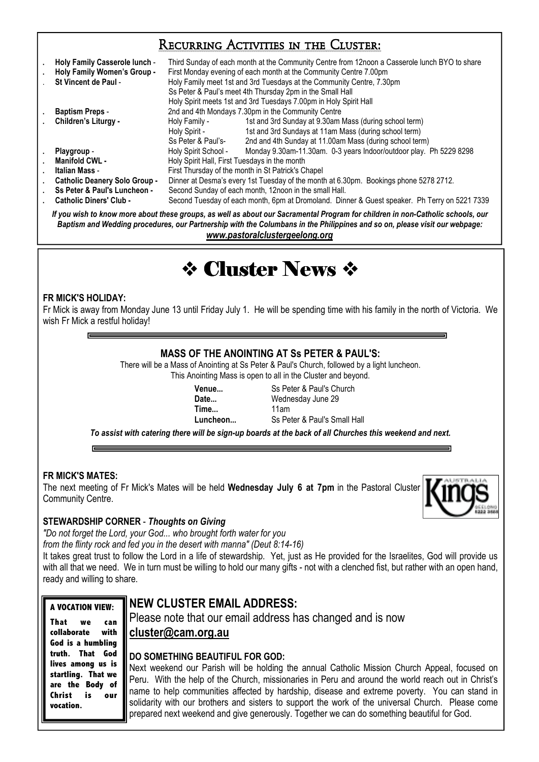### Recurring Activities in the Cluster:

| Holy Family Casserole lunch -<br>Holy Family Women's Group -<br><b>St Vincent de Paul -</b> | Third Sunday of each month at the Community Centre from 12noon a Casserole lunch BYO to share<br>First Monday evening of each month at the Community Centre 7.00pm<br>Holy Family meet 1st and 3rd Tuesdays at the Community Centre, 7.30pm |                                                                    |  |
|---------------------------------------------------------------------------------------------|---------------------------------------------------------------------------------------------------------------------------------------------------------------------------------------------------------------------------------------------|--------------------------------------------------------------------|--|
|                                                                                             | Ss Peter & Paul's meet 4th Thursday 2pm in the Small Hall                                                                                                                                                                                   |                                                                    |  |
|                                                                                             | Holy Spirit meets 1st and 3rd Tuesdays 7.00pm in Holy Spirit Hall                                                                                                                                                                           |                                                                    |  |
| <b>Baptism Preps -</b>                                                                      | 2nd and 4th Mondays 7.30pm in the Community Centre                                                                                                                                                                                          |                                                                    |  |
| Children's Liturgy -                                                                        | Holy Family -                                                                                                                                                                                                                               | 1st and 3rd Sunday at 9.30am Mass (during school term)             |  |
|                                                                                             | Holy Spirit -                                                                                                                                                                                                                               | 1st and 3rd Sundays at 11am Mass (during school term)              |  |
|                                                                                             | Ss Peter & Paul's-                                                                                                                                                                                                                          | 2nd and 4th Sunday at 11.00am Mass (during school term)            |  |
| Playgroup -                                                                                 | Holy Spirit School -                                                                                                                                                                                                                        | Monday 9.30am-11.30am. 0-3 years Indoor/outdoor play. Ph 5229 8298 |  |
| <b>Manifold CWL -</b>                                                                       | Holy Spirit Hall, First Tuesdays in the month                                                                                                                                                                                               |                                                                    |  |
| Italian Mass -                                                                              | First Thursday of the month in St Patrick's Chapel                                                                                                                                                                                          |                                                                    |  |
| <b>Catholic Deanery Solo Group -</b>                                                        | Dinner at Desma's every 1st Tuesday of the month at 6.30pm. Bookings phone 5278 2712.                                                                                                                                                       |                                                                    |  |
| Ss Peter & Paul's Luncheon -                                                                | Second Sunday of each month, 12noon in the small Hall.                                                                                                                                                                                      |                                                                    |  |
| <b>Catholic Diners' Club -</b>                                                              | Second Tuesday of each month, 6pm at Dromoland. Dinner & Guest speaker. Ph Terry on 5221 7339                                                                                                                                               |                                                                    |  |
|                                                                                             |                                                                                                                                                                                                                                             |                                                                    |  |

*If you wish to know more about these groups, as well as about our Sacramental Program for children in non-Catholic schools, our Baptism and Wedding procedures, our Partnership with the Columbans in the Philippines and so on, please visit our webpage: www.pastoralclustergeelong.org*

# $\Leftrightarrow$  Cluster News  $\Leftrightarrow$

#### **FR MICK'S HOLIDAY:**

Fr Mick is away from Monday June 13 until Friday July 1. He will be spending time with his family in the north of Victoria. We wish Fr Mick a restful holiday!

#### **MASS OF THE ANOINTING AT Ss PETER & PAUL'S:**

There will be a Mass of Anointing at Ss Peter & Paul's Church, followed by a light luncheon. This Anointing Mass is open to all in the Cluster and beyond.

 **Time...** 11am

**Venue... SS Peter & Paul's Church Date...** Wednesday June 29 Luncheon... **SS Peter & Paul's Small Hall** 

*To assist with catering there will be sign-up boards at the back of all Churches this weekend and next.* 

#### **FR MICK'S MATES:**

The next meeting of Fr Mick's Mates will be held **Wednesday July 6 at 7pm** in the Pastoral Cluster Community Centre.



#### **STEWARDSHIP CORNER** - *Thoughts on Giving*

*"Do not forget the Lord, your God... who brought forth water for you* 

*from the flinty rock and fed you in the desert with manna" (Deut 8:14-16)* 

It takes great trust to follow the Lord in a life of stewardship. Yet, just as He provided for the Israelites, God will provide us with all that we need. We in turn must be willing to hold our many gifts - not with a clenched fist, but rather with an open hand, ready and willing to share.

#### **A VOCATION VIEW:**

### **NEW CLUSTER EMAIL ADDRESS:**

Please note that our email address has changed and is now

#### **cluster@cam.org.au**

#### **DO SOMETHING BEAUTIFUL FOR GOD:**

Next weekend our Parish will be holding the annual Catholic Mission Church Appeal, focused on Peru. With the help of the Church, missionaries in Peru and around the world reach out in Christ's name to help communities affected by hardship, disease and extreme poverty. You can stand in solidarity with our brothers and sisters to support the work of the universal Church. Please come prepared next weekend and give generously. Together we can do something beautiful for God.

**That we can collaborate with God is a humbling truth. That God lives among us is startling. That we are the Body of Christ is our vocation.**